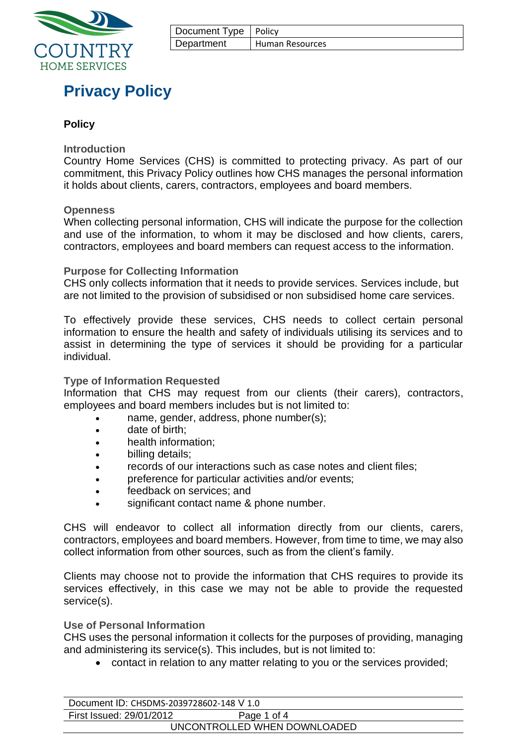

| Document Type   Policy |                 |
|------------------------|-----------------|
| Department             | Human Resources |

# **Privacy Policy**

# **Policy**

### **Introduction**

Country Home Services (CHS) is committed to protecting privacy. As part of our commitment, this Privacy Policy outlines how CHS manages the personal information it holds about clients, carers, contractors, employees and board members.

#### **Openness**

When collecting personal information, CHS will indicate the purpose for the collection and use of the information, to whom it may be disclosed and how clients, carers, contractors, employees and board members can request access to the information.

### **Purpose for Collecting Information**

CHS only collects information that it needs to provide services. Services include, but are not limited to the provision of subsidised or non subsidised home care services.

To effectively provide these services, CHS needs to collect certain personal information to ensure the health and safety of individuals utilising its services and to assist in determining the type of services it should be providing for a particular individual.

#### **Type of Information Requested**

Information that CHS may request from our clients (their carers), contractors, employees and board members includes but is not limited to:

- name, gender, address, phone number(s);
- date of birth:
- health information;
- billing details;
- records of our interactions such as case notes and client files;
- preference for particular activities and/or events;
- feedback on services; and
- significant contact name & phone number.

CHS will endeavor to collect all information directly from our clients, carers, contractors, employees and board members. However, from time to time, we may also collect information from other sources, such as from the client's family.

Clients may choose not to provide the information that CHS requires to provide its services effectively, in this case we may not be able to provide the requested service(s).

#### **Use of Personal Information**

CHS uses the personal information it collects for the purposes of providing, managing and administering its service(s). This includes, but is not limited to:

• contact in relation to any matter relating to you or the services provided;

| Document ID: CHSDMS-2039728602-148 V 1.0 |             |  |
|------------------------------------------|-------------|--|
| First Issued: 29/01/2012                 | Page 1 of 4 |  |
| UNCONTROLLED WHEN DOWNLOADED             |             |  |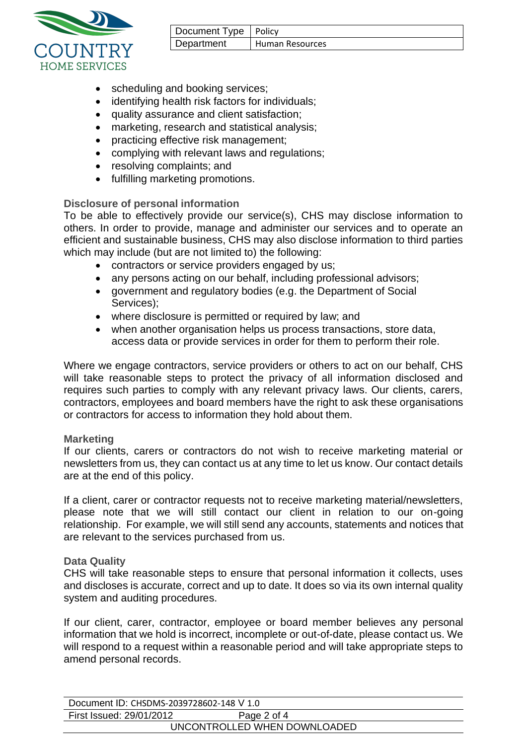| Document Type   Policy |                 |
|------------------------|-----------------|
| Department             | Human Resources |



- scheduling and booking services;
- identifying health risk factors for individuals;
- quality assurance and client satisfaction;
- marketing, research and statistical analysis:
- practicing effective risk management;
- complying with relevant laws and regulations;
- resolving complaints; and
- fulfilling marketing promotions.

# **Disclosure of personal information**

To be able to effectively provide our service(s), CHS may disclose information to others. In order to provide, manage and administer our services and to operate an efficient and sustainable business, CHS may also disclose information to third parties which may include (but are not limited to) the following:

- contractors or service providers engaged by us;
- any persons acting on our behalf, including professional advisors;
- government and regulatory bodies (e.g. the Department of Social Services);
- where disclosure is permitted or required by law; and
- when another organisation helps us process transactions, store data, access data or provide services in order for them to perform their role.

Where we engage contractors, service providers or others to act on our behalf, CHS will take reasonable steps to protect the privacy of all information disclosed and requires such parties to comply with any relevant privacy laws. Our clients, carers, contractors, employees and board members have the right to ask these organisations or contractors for access to information they hold about them.

# **Marketing**

If our clients, carers or contractors do not wish to receive marketing material or newsletters from us, they can contact us at any time to let us know. Our contact details are at the end of this policy.

If a client, carer or contractor requests not to receive marketing material/newsletters, please note that we will still contact our client in relation to our on-going relationship. For example, we will still send any accounts, statements and notices that are relevant to the services purchased from us.

# **Data Quality**

CHS will take reasonable steps to ensure that personal information it collects, uses and discloses is accurate, correct and up to date. It does so via its own internal quality system and auditing procedures.

If our client, carer, contractor, employee or board member believes any personal information that we hold is incorrect, incomplete or out-of-date, please contact us. We will respond to a request within a reasonable period and will take appropriate steps to amend personal records.

| Document ID: CHSDMS-2039728602-148 V 1.0 |             |  |
|------------------------------------------|-------------|--|
| First Issued: 29/01/2012                 | Page 2 of 4 |  |
| UNCONTROLLED WHEN DOWNLOADED             |             |  |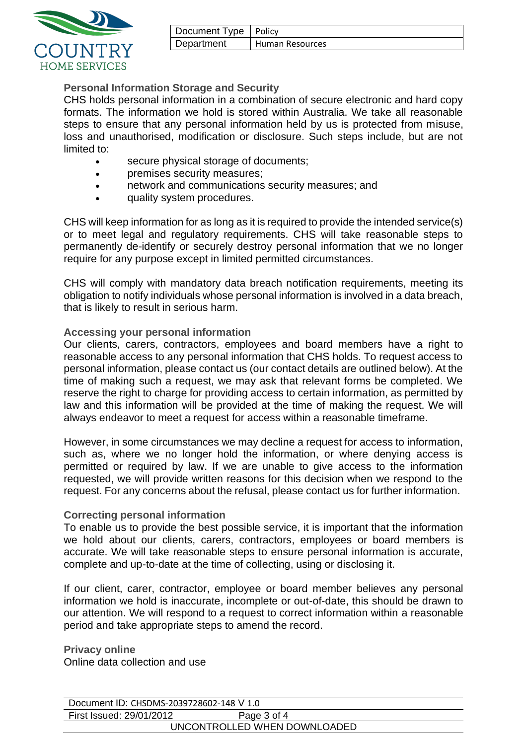| Document Type   Policy |                 |
|------------------------|-----------------|
| Department             | Human Resources |



# **Personal Information Storage and Security**

CHS holds personal information in a combination of secure electronic and hard copy formats. The information we hold is stored within Australia. We take all reasonable steps to ensure that any personal information held by us is protected from misuse, loss and unauthorised, modification or disclosure. Such steps include, but are not limited to:

- secure physical storage of documents:
- premises security measures;
- network and communications security measures; and
- quality system procedures.

CHS will keep information for as long as it is required to provide the intended service(s) or to meet legal and regulatory requirements. CHS will take reasonable steps to permanently de-identify or securely destroy personal information that we no longer require for any purpose except in limited permitted circumstances.

CHS will comply with mandatory data breach notification requirements, meeting its obligation to notify individuals whose personal information is involved in a data breach, that is likely to result in serious harm.

### **Accessing your personal information**

Our clients, carers, contractors, employees and board members have a right to reasonable access to any personal information that CHS holds. To request access to personal information, please contact us (our contact details are outlined below). At the time of making such a request, we may ask that relevant forms be completed. We reserve the right to charge for providing access to certain information, as permitted by law and this information will be provided at the time of making the request. We will always endeavor to meet a request for access within a reasonable timeframe.

However, in some circumstances we may decline a request for access to information, such as, where we no longer hold the information, or where denying access is permitted or required by law. If we are unable to give access to the information requested, we will provide written reasons for this decision when we respond to the request. For any concerns about the refusal, please contact us for further information.

### **Correcting personal information**

To enable us to provide the best possible service, it is important that the information we hold about our clients, carers, contractors, employees or board members is accurate. We will take reasonable steps to ensure personal information is accurate, complete and up-to-date at the time of collecting, using or disclosing it.

If our client, carer, contractor, employee or board member believes any personal information we hold is inaccurate, incomplete or out-of-date, this should be drawn to our attention. We will respond to a request to correct information within a reasonable period and take appropriate steps to amend the record.

**Privacy online** Online data collection and use

| Document ID: CHSDMS-2039728602-148 V 1.0 |             |  |
|------------------------------------------|-------------|--|
| First Issued: 29/01/2012                 | Page 3 of 4 |  |
| UNCONTROLLED WHEN DOWNLOADED             |             |  |